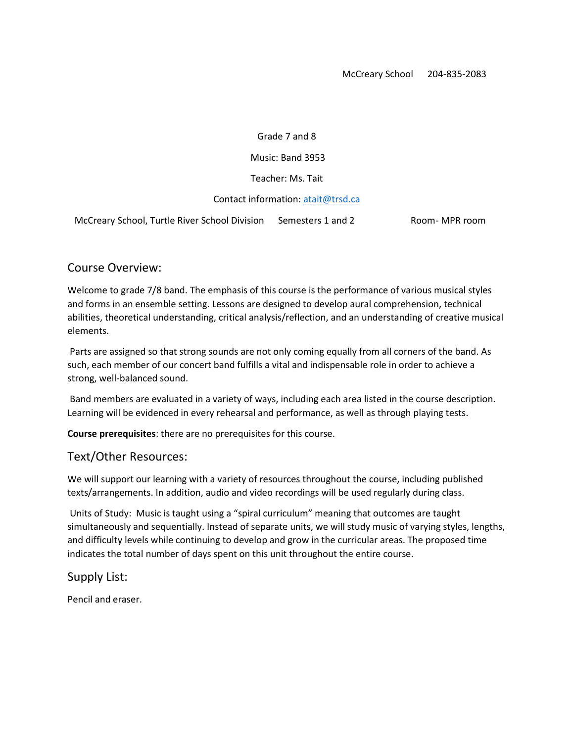#### Grade 7 and 8

Music: Band 3953

Teacher: Ms. Tait

#### Contact information[: atait@trsd.ca](mailto:atait@trsd.ca)

McCreary School, Turtle River School Division Semesters 1 and 2 Room- MPR room

### Course Overview:

Welcome to grade 7/8 band. The emphasis of this course is the performance of various musical styles and forms in an ensemble setting. Lessons are designed to develop aural comprehension, technical abilities, theoretical understanding, critical analysis/reflection, and an understanding of creative musical elements.

Parts are assigned so that strong sounds are not only coming equally from all corners of the band. As such, each member of our concert band fulfills a vital and indispensable role in order to achieve a strong, well-balanced sound.

Band members are evaluated in a variety of ways, including each area listed in the course description. Learning will be evidenced in every rehearsal and performance, as well as through playing tests.

**Course prerequisites**: there are no prerequisites for this course.

### Text/Other Resources:

We will support our learning with a variety of resources throughout the course, including published texts/arrangements. In addition, audio and video recordings will be used regularly during class.

Units of Study: Music is taught using a "spiral curriculum" meaning that outcomes are taught simultaneously and sequentially. Instead of separate units, we will study music of varying styles, lengths, and difficulty levels while continuing to develop and grow in the curricular areas. The proposed time indicates the total number of days spent on this unit throughout the entire course.

Supply List:

Pencil and eraser.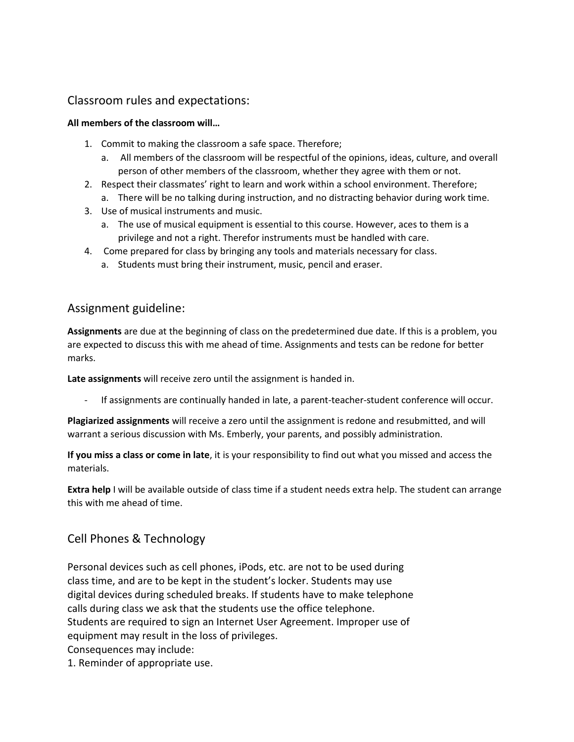# Classroom rules and expectations:

### **All members of the classroom will…**

- 1. Commit to making the classroom a safe space. Therefore;
	- a. All members of the classroom will be respectful of the opinions, ideas, culture, and overall person of other members of the classroom, whether they agree with them or not.
- 2. Respect their classmates' right to learn and work within a school environment. Therefore;
- a. There will be no talking during instruction, and no distracting behavior during work time.
- 3. Use of musical instruments and music.
	- a. The use of musical equipment is essential to this course. However, aces to them is a privilege and not a right. Therefor instruments must be handled with care.
- 4. Come prepared for class by bringing any tools and materials necessary for class.
	- a. Students must bring their instrument, music, pencil and eraser.

## Assignment guideline:

**Assignments** are due at the beginning of class on the predetermined due date. If this is a problem, you are expected to discuss this with me ahead of time. Assignments and tests can be redone for better marks.

**Late assignments** will receive zero until the assignment is handed in.

If assignments are continually handed in late, a parent-teacher-student conference will occur.

**Plagiarized assignments** will receive a zero until the assignment is redone and resubmitted, and will warrant a serious discussion with Ms. Emberly, your parents, and possibly administration.

**If you miss a class or come in late**, it is your responsibility to find out what you missed and access the materials.

**Extra help** I will be available outside of class time if a student needs extra help. The student can arrange this with me ahead of time.

# Cell Phones & Technology

Personal devices such as cell phones, iPods, etc. are not to be used during class time, and are to be kept in the student's locker. Students may use digital devices during scheduled breaks. If students have to make telephone calls during class we ask that the students use the office telephone. Students are required to sign an Internet User Agreement. Improper use of equipment may result in the loss of privileges. Consequences may include:

1. Reminder of appropriate use.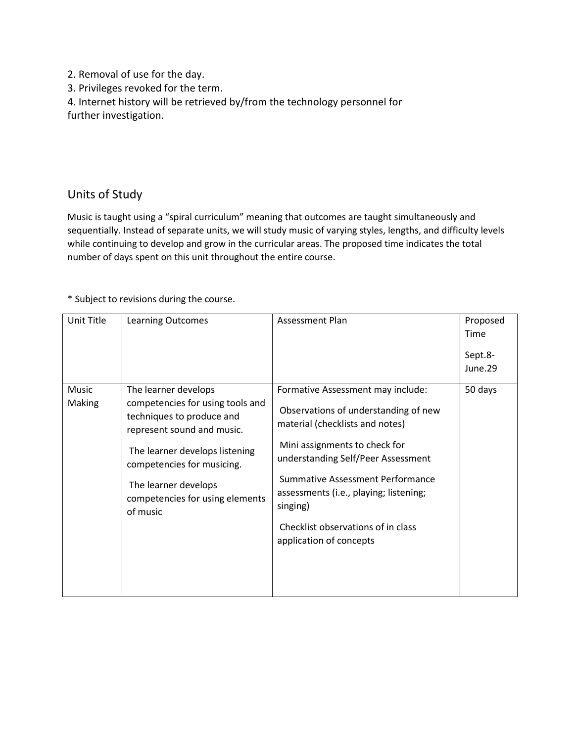2. Removal of use for the day.

3. Privileges revoked for the term.

4. Internet history will be retrieved by/from the technology personnel for further investigation.

# Units of Study

Music is taught using a "spiral curriculum" meaning that outcomes are taught simultaneously and sequentially. Instead of separate units, we will study music of varying styles, lengths, and difficulty levels while continuing to develop and grow in the curricular areas. The proposed time indicates the total number of days spent on this unit throughout the entire course.

\* Subject to revisions during the course.

| Unit Title      | <b>Learning Outcomes</b>                                                                                                                                                                                                                                   | Assessment Plan                                                                                                                                                                                                                                                                                                                                | Proposed<br>Time<br>Sept.8-<br>June.29 |
|-----------------|------------------------------------------------------------------------------------------------------------------------------------------------------------------------------------------------------------------------------------------------------------|------------------------------------------------------------------------------------------------------------------------------------------------------------------------------------------------------------------------------------------------------------------------------------------------------------------------------------------------|----------------------------------------|
| Music<br>Making | The learner develops<br>competencies for using tools and<br>techniques to produce and<br>represent sound and music.<br>The learner develops listening<br>competencies for musicing.<br>The learner develops<br>competencies for using elements<br>of music | Formative Assessment may include:<br>Observations of understanding of new<br>material (checklists and notes)<br>Mini assignments to check for<br>understanding Self/Peer Assessment<br>Summative Assessment Performance<br>assessments (i.e., playing; listening;<br>singing)<br>Checklist observations of in class<br>application of concepts | 50 days                                |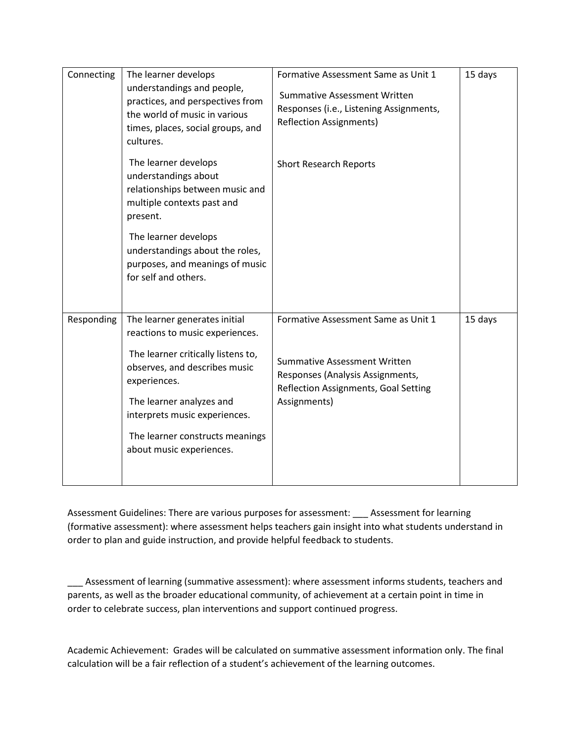| Connecting | The learner develops<br>understandings and people,<br>practices, and perspectives from<br>the world of music in various<br>times, places, social groups, and<br>cultures.                                                                                                           | Formative Assessment Same as Unit 1<br><b>Summative Assessment Written</b><br>Responses (i.e., Listening Assignments,<br><b>Reflection Assignments)</b>                | 15 days |
|------------|-------------------------------------------------------------------------------------------------------------------------------------------------------------------------------------------------------------------------------------------------------------------------------------|------------------------------------------------------------------------------------------------------------------------------------------------------------------------|---------|
|            | The learner develops<br>understandings about<br>relationships between music and<br>multiple contexts past and<br>present.<br>The learner develops<br>understandings about the roles,<br>purposes, and meanings of music<br>for self and others.                                     | <b>Short Research Reports</b>                                                                                                                                          |         |
|            |                                                                                                                                                                                                                                                                                     |                                                                                                                                                                        |         |
| Responding | The learner generates initial<br>reactions to music experiences.<br>The learner critically listens to,<br>observes, and describes music<br>experiences.<br>The learner analyzes and<br>interprets music experiences.<br>The learner constructs meanings<br>about music experiences. | Formative Assessment Same as Unit 1<br><b>Summative Assessment Written</b><br>Responses (Analysis Assignments,<br>Reflection Assignments, Goal Setting<br>Assignments) | 15 days |

Assessment Guidelines: There are various purposes for assessment: \_\_\_ Assessment for learning (formative assessment): where assessment helps teachers gain insight into what students understand in order to plan and guide instruction, and provide helpful feedback to students.

\_\_\_ Assessment of learning (summative assessment): where assessment informs students, teachers and parents, as well as the broader educational community, of achievement at a certain point in time in order to celebrate success, plan interventions and support continued progress.

Academic Achievement: Grades will be calculated on summative assessment information only. The final calculation will be a fair reflection of a student's achievement of the learning outcomes.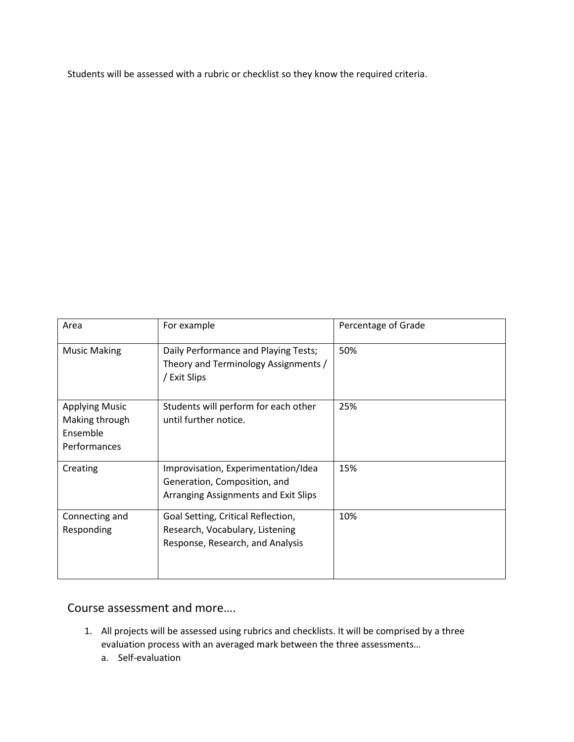Students will be assessed with a rubric or checklist so they know the required criteria.

| Area                                                                | For example                                                                                                 | Percentage of Grade |
|---------------------------------------------------------------------|-------------------------------------------------------------------------------------------------------------|---------------------|
| <b>Music Making</b>                                                 | Daily Performance and Playing Tests;<br>Theory and Terminology Assignments /<br>/ Exit Slips                | 50%                 |
| <b>Applying Music</b><br>Making through<br>Ensemble<br>Performances | Students will perform for each other<br>until further notice.                                               | 25%                 |
| Creating                                                            | Improvisation, Experimentation/Idea<br>Generation, Composition, and<br>Arranging Assignments and Exit Slips | 15%                 |
| Connecting and<br>Responding                                        | Goal Setting, Critical Reflection,<br>Research, Vocabulary, Listening<br>Response, Research, and Analysis   | 10%                 |

## Course assessment and more….

- 1. All projects will be assessed using rubrics and checklists. It will be comprised by a three evaluation process with an averaged mark between the three assessments…
	- a. Self-evaluation